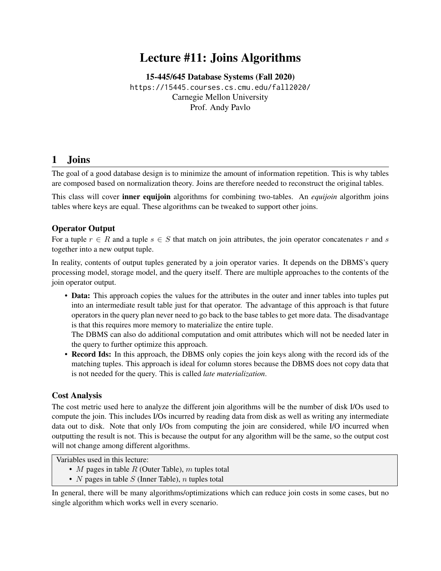# Lecture #11: Joins Algorithms

[15-445/645 Database Systems \(Fall 2020\)](https://15445.courses.cs.cmu.edu/fall2020/) <https://15445.courses.cs.cmu.edu/fall2020/> Carnegie Mellon University [Prof. Andy Pavlo](http://www.cs.cmu.edu/~pavlo/)

### 1 Joins

The goal of a good database design is to minimize the amount of information repetition. This is why tables are composed based on normalization theory. Joins are therefore needed to reconstruct the original tables.

This class will cover inner equijoin algorithms for combining two-tables. An *equijoin* algorithm joins tables where keys are equal. These algorithms can be tweaked to support other joins.

#### Operator Output

For a tuple  $r \in R$  and a tuple  $s \in S$  that match on join attributes, the join operator concatenates r and s together into a new output tuple.

In reality, contents of output tuples generated by a join operator varies. It depends on the DBMS's query processing model, storage model, and the query itself. There are multiple approaches to the contents of the join operator output.

• Data: This approach copies the values for the attributes in the outer and inner tables into tuples put into an intermediate result table just for that operator. The advantage of this approach is that future operators in the query plan never need to go back to the base tables to get more data. The disadvantage is that this requires more memory to materialize the entire tuple.

The DBMS can also do additional computation and omit attributes which will not be needed later in the query to further optimize this approach.

• Record Ids: In this approach, the DBMS only copies the join keys along with the record ids of the matching tuples. This approach is ideal for column stores because the DBMS does not copy data that is not needed for the query. This is called *late materialization*.

#### Cost Analysis

The cost metric used here to analyze the different join algorithms will be the number of disk I/Os used to compute the join. This includes I/Os incurred by reading data from disk as well as writing any intermediate data out to disk. Note that only I/Os from computing the join are considered, while I/O incurred when outputting the result is not. This is because the output for any algorithm will be the same, so the output cost will not change among different algorithms.

Variables used in this lecture:

- M pages in table  $R$  (Outer Table), m tuples total
- $N$  pages in table  $S$  (Inner Table),  $n$  tuples total

In general, there will be many algorithms/optimizations which can reduce join costs in some cases, but no single algorithm which works well in every scenario.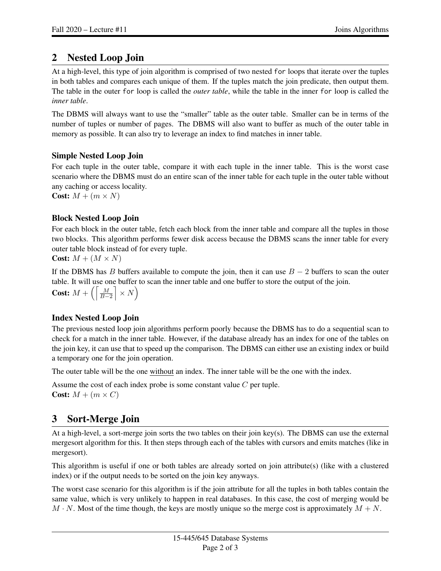## 2 Nested Loop Join

At a high-level, this type of join algorithm is comprised of two nested for loops that iterate over the tuples in both tables and compares each unique of them. If the tuples match the join predicate, then output them. The table in the outer for loop is called the *outer table*, while the table in the inner for loop is called the *inner table*.

The DBMS will always want to use the "smaller" table as the outer table. Smaller can be in terms of the number of tuples or number of pages. The DBMS will also want to buffer as much of the outer table in memory as possible. It can also try to leverage an index to find matches in inner table.

### Simple Nested Loop Join

For each tuple in the outer table, compare it with each tuple in the inner table. This is the worst case scenario where the DBMS must do an entire scan of the inner table for each tuple in the outer table without any caching or access locality.

Cost:  $M + (m \times N)$ 

#### Block Nested Loop Join

For each block in the outer table, fetch each block from the inner table and compare all the tuples in those two blocks. This algorithm performs fewer disk access because the DBMS scans the inner table for every outer table block instead of for every tuple.

**Cost:**  $M + (M \times N)$ 

If the DBMS has B buffers available to compute the join, then it can use  $B - 2$  buffers to scan the outer table. It will use one buffer to scan the inner table and one buffer to store the output of the join.

**Cost:**  $M + \left( \left\lceil \frac{M}{B-2} \right\rceil \times N \right)$ 

### Index Nested Loop Join

The previous nested loop join algorithms perform poorly because the DBMS has to do a sequential scan to check for a match in the inner table. However, if the database already has an index for one of the tables on the join key, it can use that to speed up the comparison. The DBMS can either use an existing index or build a temporary one for the join operation.

The outer table will be the one without an index. The inner table will be the one with the index.

Assume the cost of each index probe is some constant value C per tuple. Cost:  $M + (m \times C)$ 

## 3 Sort-Merge Join

At a high-level, a sort-merge join sorts the two tables on their join key(s). The DBMS can use the external mergesort algorithm for this. It then steps through each of the tables with cursors and emits matches (like in mergesort).

This algorithm is useful if one or both tables are already sorted on join attribute(s) (like with a clustered index) or if the output needs to be sorted on the join key anyways.

The worst case scenario for this algorithm is if the join attribute for all the tuples in both tables contain the same value, which is very unlikely to happen in real databases. In this case, the cost of merging would be  $M \cdot N$ . Most of the time though, the keys are mostly unique so the merge cost is approximately  $M + N$ .